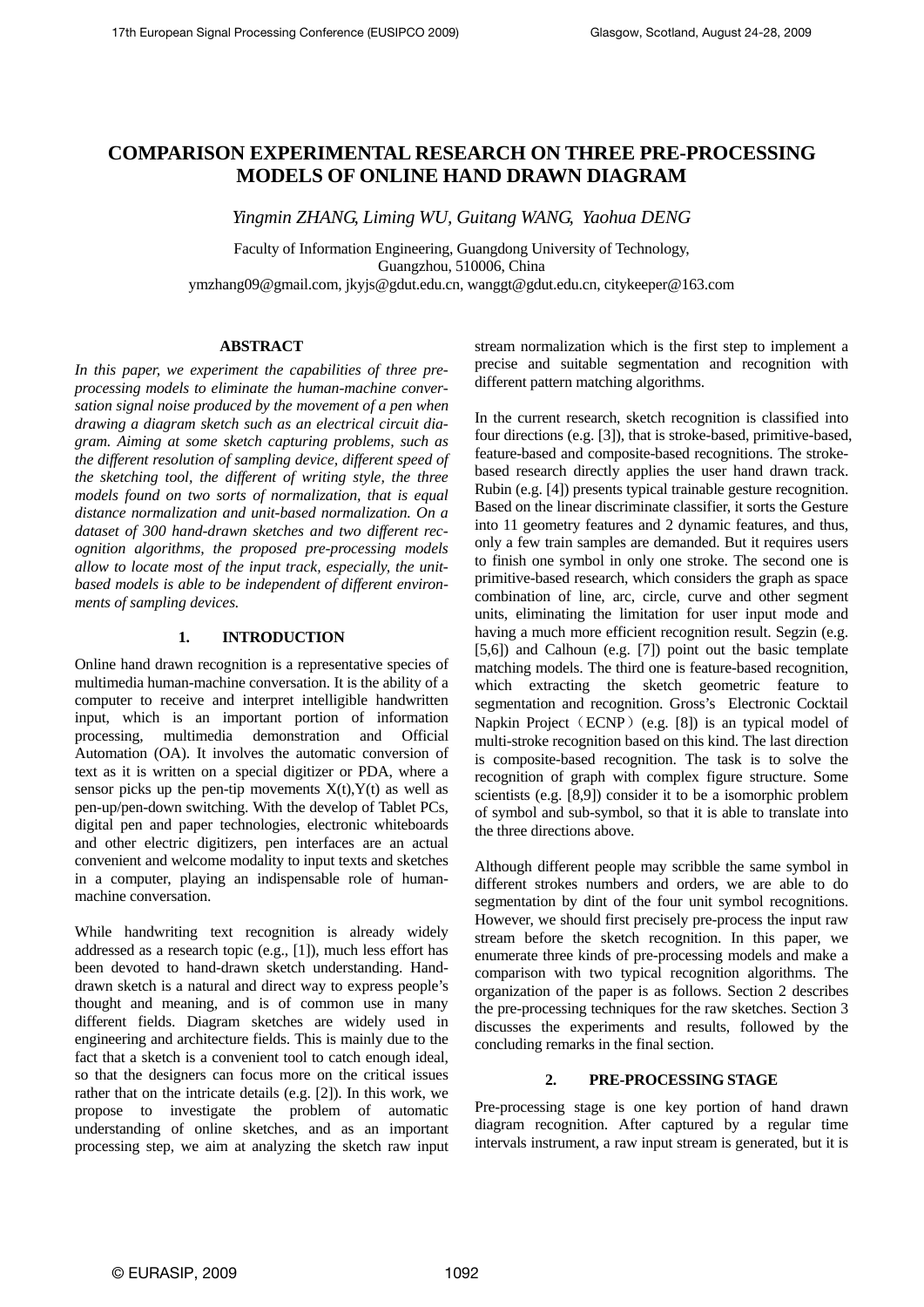# **COMPARISON EXPERIMENTAL RESEARCH ON THREE PRE-PROCESSING MODELS OF ONLINE HAND DRAWN DIAGRAM**

*Yingmin ZHANG, Liming WU, Guitang WANG, Yaohua DENG* 

Faculty of Information Engineering, Guangdong University of Technology, Guangzhou, 510006, China ymzhang09@gmail.com, jkyjs@gdut.edu.cn, wanggt@gdut.edu.cn, citykeeper@163.com

## **ABSTRACT**

*In this paper, we experiment the capabilities of three preprocessing models to eliminate the human-machine conversation signal noise produced by the movement of a pen when drawing a diagram sketch such as an electrical circuit diagram. Aiming at some sketch capturing problems, such as the different resolution of sampling device, different speed of the sketching tool, the different of writing style, the three models found on two sorts of normalization, that is equal distance normalization and unit-based normalization. On a dataset of 300 hand-drawn sketches and two different recognition algorithms, the proposed pre-processing models allow to locate most of the input track, especially, the unitbased models is able to be independent of different environments of sampling devices.* 

## **1. INTRODUCTION**

Online hand drawn recognition is a representative species of multimedia human-machine conversation. It is the ability of a computer to receive and interpret intelligible handwritten input, which is an important portion of information processing, multimedia demonstration and Official Automation (OA). It involves the automatic conversion of text as it is written on a special digitizer or PDA, where a sensor picks up the pen-tip movements  $X(t)$ ,  $Y(t)$  as well as pen-up/pen-down switching. With the develop of Tablet PCs, digital pen and paper technologies, electronic whiteboards and other electric digitizers, pen interfaces are an actual convenient and welcome modality to input texts and sketches in a computer, playing an indispensable role of humanmachine conversation.

While handwriting text recognition is already widely addressed as a research topic (e.g., [1]), much less effort has been devoted to hand-drawn sketch understanding. Handdrawn sketch is a natural and direct way to express people's thought and meaning, and is of common use in many different fields. Diagram sketches are widely used in engineering and architecture fields. This is mainly due to the fact that a sketch is a convenient tool to catch enough ideal, so that the designers can focus more on the critical issues rather that on the intricate details (e.g. [2]). In this work, we propose to investigate the problem of automatic understanding of online sketches, and as an important processing step, we aim at analyzing the sketch raw input stream normalization which is the first step to implement a precise and suitable segmentation and recognition with different pattern matching algorithms.

In the current research, sketch recognition is classified into four directions (e.g. [3]), that is stroke-based, primitive-based, feature-based and composite-based recognitions. The strokebased research directly applies the user hand drawn track. Rubin (e.g. [4]) presents typical trainable gesture recognition. Based on the linear discriminate classifier, it sorts the Gesture into 11 geometry features and 2 dynamic features, and thus, only a few train samples are demanded. But it requires users to finish one symbol in only one stroke. The second one is primitive-based research, which considers the graph as space combination of line, arc, circle, curve and other segment units, eliminating the limitation for user input mode and having a much more efficient recognition result. Segzin (e.g. [5,6]) and Calhoun (e.g. [7]) point out the basic template matching models. The third one is feature-based recognition, which extracting the sketch geometric feature to segmentation and recognition. Gross's Electronic Cocktail Napkin Project (ECNP) (e.g. [8]) is an typical model of multi-stroke recognition based on this kind. The last direction is composite-based recognition. The task is to solve the recognition of graph with complex figure structure. Some scientists (e.g. [8,9]) consider it to be a isomorphic problem of symbol and sub-symbol, so that it is able to translate into the three directions above.

Although different people may scribble the same symbol in different strokes numbers and orders, we are able to do segmentation by dint of the four unit symbol recognitions. However, we should first precisely pre-process the input raw stream before the sketch recognition. In this paper, we enumerate three kinds of pre-processing models and make a comparison with two typical recognition algorithms. The organization of the paper is as follows. Section 2 describes the pre-processing techniques for the raw sketches. Section 3 discusses the experiments and results, followed by the concluding remarks in the final section.

## **2. PRE-PROCESSING STAGE**

Pre-processing stage is one key portion of hand drawn diagram recognition. After captured by a regular time intervals instrument, a raw input stream is generated, but it is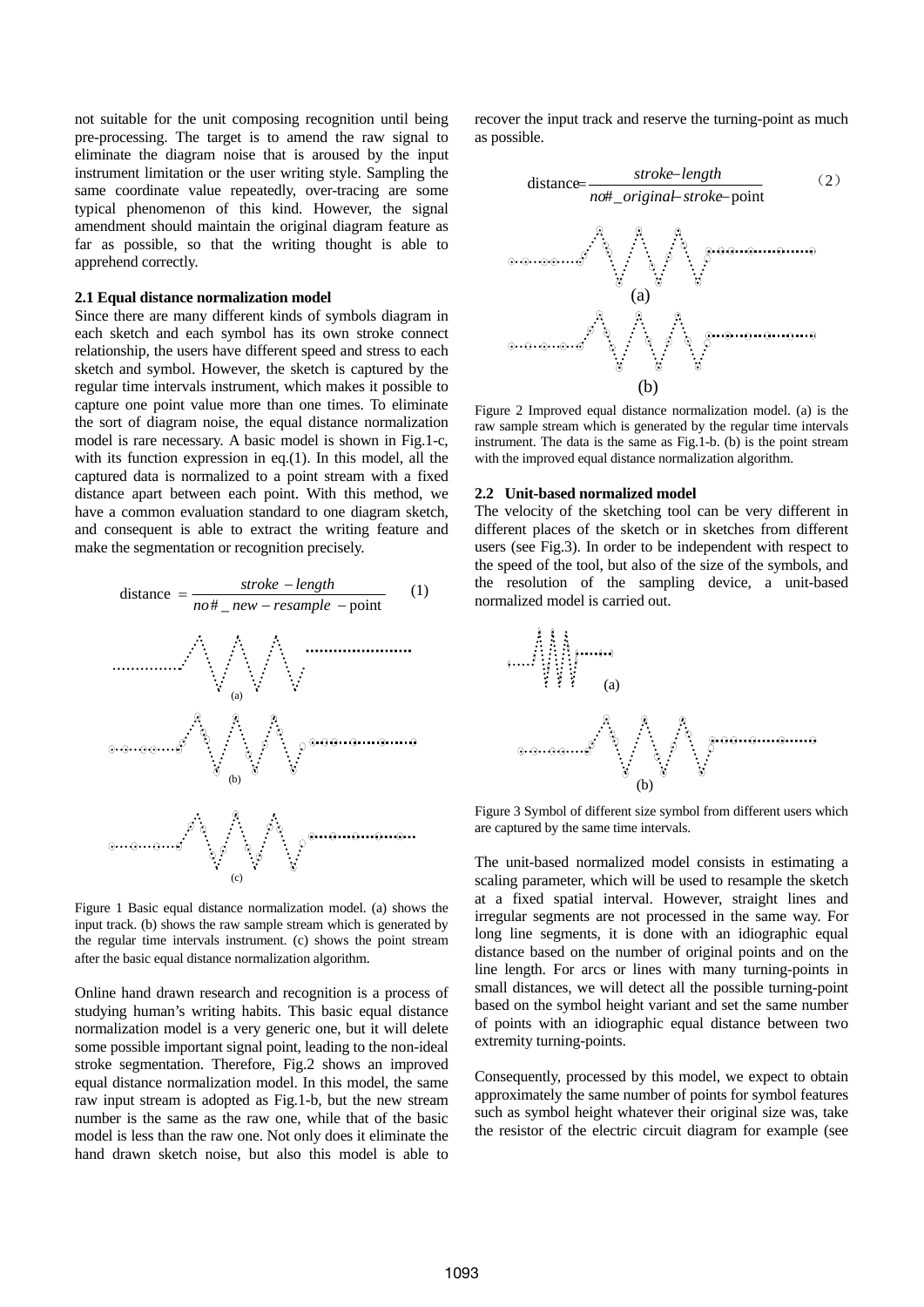not suitable for the unit composing recognition until being pre-processing. The target is to amend the raw signal to eliminate the diagram noise that is aroused by the input instrument limitation or the user writing style. Sampling the same coordinate value repeatedly, over-tracing are some typical phenomenon of this kind. However, the signal amendment should maintain the original diagram feature as far as possible, so that the writing thought is able to apprehend correctly.

#### **2.1 Equal distance normalization model**

Since there are many different kinds of symbols diagram in each sketch and each symbol has its own stroke connect relationship, the users have different speed and stress to each sketch and symbol. However, the sketch is captured by the regular time intervals instrument, which makes it possible to capture one point value more than one times. To eliminate the sort of diagram noise, the equal distance normalization model is rare necessary. A basic model is shown in Fig.1-c, with its function expression in eq.(1). In this model, all the captured data is normalized to a point stream with a fixed distance apart between each point. With this method, we have a common evaluation standard to one diagram sketch, and consequent is able to extract the writing feature and make the segmentation or recognition precisely.



input track. (b) shows the raw sample stream which is generated by the regular time intervals instrument. (c) shows the point stream after the basic equal distance normalization algorithm.

Online hand drawn research and recognition is a process of studying human's writing habits. This basic equal distance normalization model is a very generic one, but it will delete some possible important signal point, leading to the non-ideal stroke segmentation. Therefore, Fig.2 shows an improved equal distance normalization model. In this model, the same raw input stream is adopted as Fig.1-b, but the new stream number is the same as the raw one, while that of the basic model is less than the raw one. Not only does it eliminate the hand drawn sketch noise, but also this model is able to recover the input track and reserve the turning-point as much as possible.



Figure 2 Improved equal distance normalization model. (a) is the raw sample stream which is generated by the regular time intervals instrument. The data is the same as Fig.1-b. (b) is the point stream with the improved equal distance normalization algorithm.

#### **2.2 Unit-based normalized model**

The velocity of the sketching tool can be very different in different places of the sketch or in sketches from different users (see Fig.3). In order to be independent with respect to the speed of the tool, but also of the size of the symbols, and the resolution of the sampling device, a unit-based normalized model is carried out.



Figure 3 Symbol of different size symbol from different users which are captured by the same time intervals.

The unit-based normalized model consists in estimating a scaling parameter, which will be used to resample the sketch at a fixed spatial interval. However, straight lines and irregular segments are not processed in the same way. For long line segments, it is done with an idiographic equal distance based on the number of original points and on the line length. For arcs or lines with many turning-points in small distances, we will detect all the possible turning-point based on the symbol height variant and set the same number of points with an idiographic equal distance between two extremity turning-points.

Consequently, processed by this model, we expect to obtain approximately the same number of points for symbol features such as symbol height whatever their original size was, take the resistor of the electric circuit diagram for example (see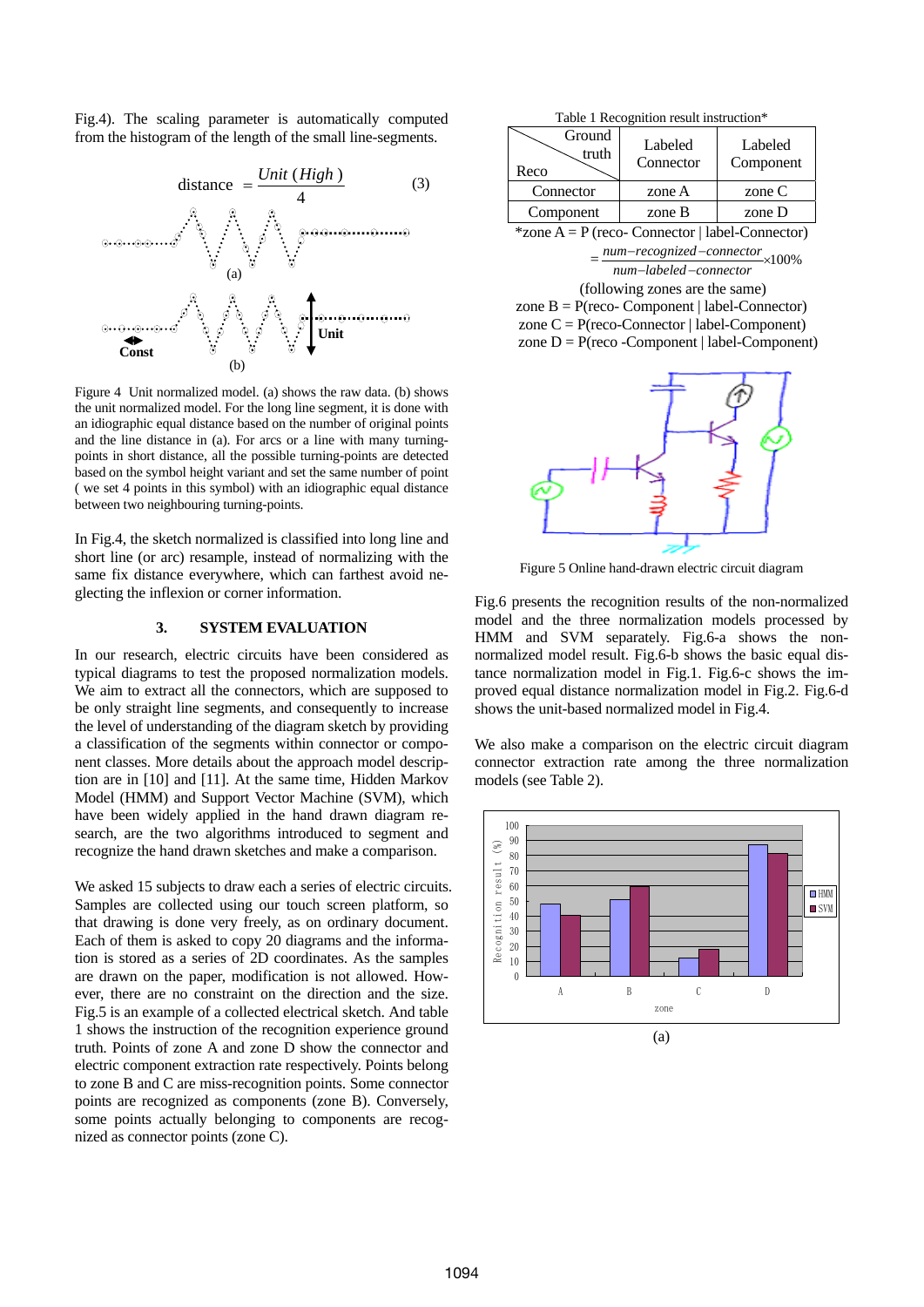Fig.4). The scaling parameter is automatically computed from the histogram of the length of the small line-segments.

distance 
$$
=\frac{Unit(High)}{i}
$$
 (3)



 Figure 4 Unit normalized model. (a) shows the raw data. (b) shows the unit normalized model. For the long line segment, it is done with an idiographic equal distance based on the number of original points and the line distance in (a). For arcs or a line with many turningpoints in short distance, all the possible turning-points are detected based on the symbol height variant and set the same number of point ( we set 4 points in this symbol) with an idiographic equal distance between two neighbouring turning-points.

In Fig.4, the sketch normalized is classified into long line and short line (or arc) resample, instead of normalizing with the same fix distance everywhere, which can farthest avoid neglecting the inflexion or corner information.

## **3. SYSTEM EVALUATION**

In our research, electric circuits have been considered as typical diagrams to test the proposed normalization models. We aim to extract all the connectors, which are supposed to be only straight line segments, and consequently to increase the level of understanding of the diagram sketch by providing a classification of the segments within connector or component classes. More details about the approach model description are in [10] and [11]. At the same time, Hidden Markov Model (HMM) and Support Vector Machine (SVM), which have been widely applied in the hand drawn diagram research, are the two algorithms introduced to segment and recognize the hand drawn sketches and make a comparison.

We asked 15 subjects to draw each a series of electric circuits. Samples are collected using our touch screen platform, so that drawing is done very freely, as on ordinary document. Each of them is asked to copy 20 diagrams and the information is stored as a series of 2D coordinates. As the samples are drawn on the paper, modification is not allowed. However, there are no constraint on the direction and the size. Fig.5 is an example of a collected electrical sketch. And table 1 shows the instruction of the recognition experience ground truth. Points of zone A and zone D show the connector and electric component extraction rate respectively. Points belong to zone B and C are miss-recognition points. Some connector points are recognized as components (zone B). Conversely, some points actually belonging to components are recognized as connector points (zone C).

| Table 1 Recognition result instruction* |  |
|-----------------------------------------|--|
|-----------------------------------------|--|

| Ground<br>truth<br>Reco | Labeled<br>Connector | Labeled<br>Component |
|-------------------------|----------------------|----------------------|
| Connector               | zone A               | zone $C$             |
| Component               | zone B               | zone D               |

 $*$ zone A = P (reco- Connector | label-Connector)

 $=\frac{num-recosnized-connector}{num-labeled-connector}$ ×100% *num labeled connector*

(following zones are the same)

zone  $B = P$ (reco- Component | label-Connector) zone  $C = P$ (reco-Connector | label-Component) zone  $D = P$ (reco -Component | label-Component)



Figure 5 Online hand-drawn electric circuit diagram

Fig.6 presents the recognition results of the non-normalized model and the three normalization models processed by HMM and SVM separately. Fig.6-a shows the nonnormalized model result. Fig.6-b shows the basic equal distance normalization model in Fig.1. Fig.6-c shows the improved equal distance normalization model in Fig.2. Fig.6-d shows the unit-based normalized model in Fig.4.

We also make a comparison on the electric circuit diagram connector extraction rate among the three normalization models (see Table 2).

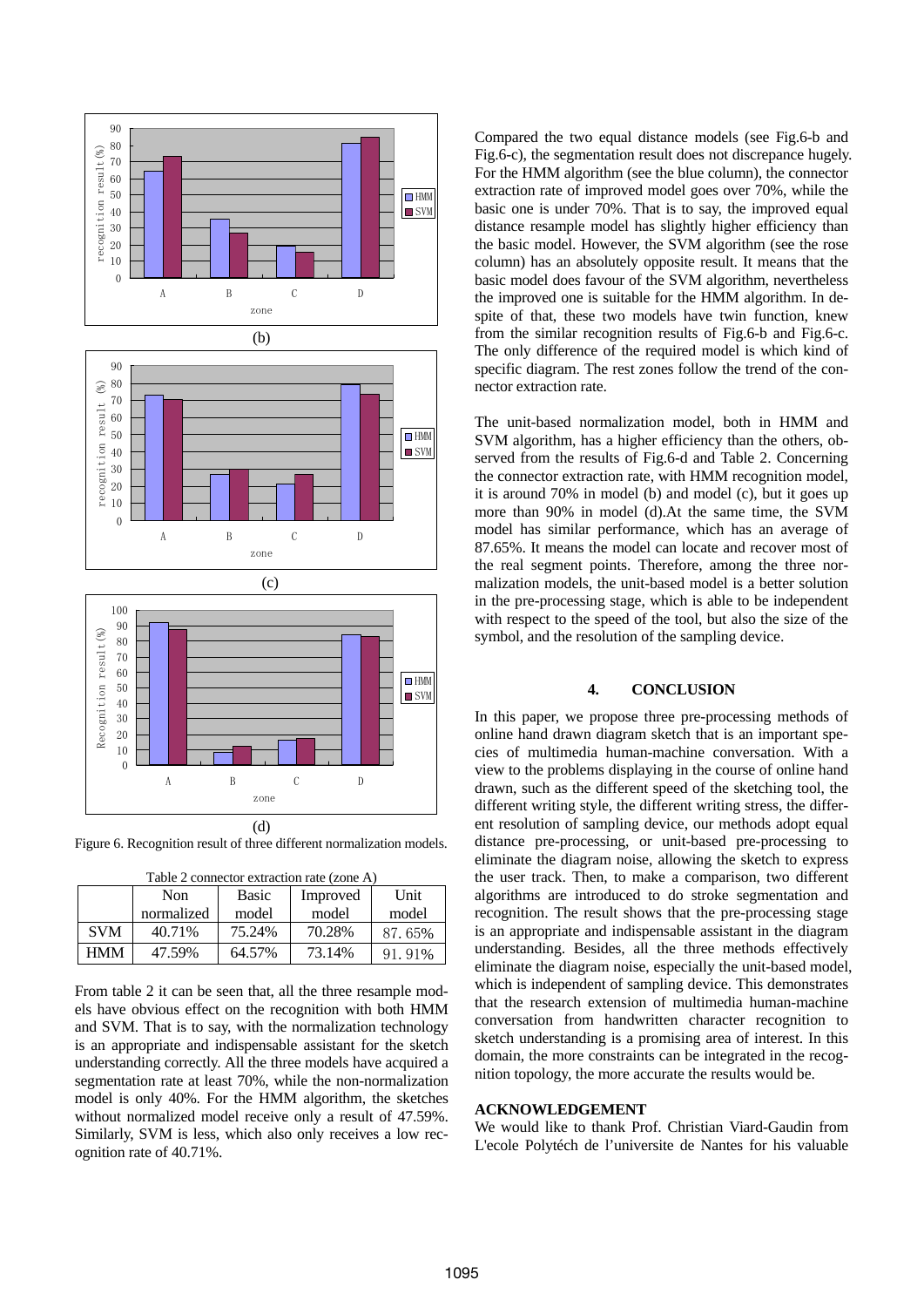

Figure 6. Recognition result of three different normalization models.

| Table 2 connector extraction rate (zone A) |            |              |          |        |  |
|--------------------------------------------|------------|--------------|----------|--------|--|
|                                            | Non        | <b>Basic</b> | Improved | Unit   |  |
|                                            | normalized | model        | model    | model  |  |
| <b>SVM</b>                                 | 40.71%     | 75.24%       | 70.28%   | 87.65% |  |
| <b>HMM</b>                                 | 47.59%     | 64.57%       | 73.14%   | 91%    |  |

From table 2 it can be seen that, all the three resample models have obvious effect on the recognition with both HMM and SVM. That is to say, with the normalization technology is an appropriate and indispensable assistant for the sketch understanding correctly. All the three models have acquired a segmentation rate at least 70%, while the non-normalization model is only 40%. For the HMM algorithm, the sketches without normalized model receive only a result of 47.59%. Similarly, SVM is less, which also only receives a low recognition rate of 40.71%.

Compared the two equal distance models (see Fig.6-b and Fig.6-c), the segmentation result does not discrepance hugely. For the HMM algorithm (see the blue column), the connector extraction rate of improved model goes over 70%, while the basic one is under 70%. That is to say, the improved equal distance resample model has slightly higher efficiency than the basic model. However, the SVM algorithm (see the rose column) has an absolutely opposite result. It means that the basic model does favour of the SVM algorithm, nevertheless the improved one is suitable for the HMM algorithm. In despite of that, these two models have twin function, knew from the similar recognition results of Fig.6-b and Fig.6-c. The only difference of the required model is which kind of specific diagram. The rest zones follow the trend of the connector extraction rate.

The unit-based normalization model, both in HMM and SVM algorithm, has a higher efficiency than the others, observed from the results of Fig.6-d and Table 2. Concerning the connector extraction rate, with HMM recognition model, it is around 70% in model (b) and model (c), but it goes up more than 90% in model (d).At the same time, the SVM model has similar performance, which has an average of 87.65%. It means the model can locate and recover most of the real segment points. Therefore, among the three normalization models, the unit-based model is a better solution in the pre-processing stage, which is able to be independent with respect to the speed of the tool, but also the size of the symbol, and the resolution of the sampling device.

# **4. CONCLUSION**

In this paper, we propose three pre-processing methods of online hand drawn diagram sketch that is an important species of multimedia human-machine conversation. With a view to the problems displaying in the course of online hand drawn, such as the different speed of the sketching tool, the different writing style, the different writing stress, the different resolution of sampling device, our methods adopt equal distance pre-processing, or unit-based pre-processing to eliminate the diagram noise, allowing the sketch to express the user track. Then, to make a comparison, two different algorithms are introduced to do stroke segmentation and recognition. The result shows that the pre-processing stage is an appropriate and indispensable assistant in the diagram understanding. Besides, all the three methods effectively eliminate the diagram noise, especially the unit-based model, which is independent of sampling device. This demonstrates that the research extension of multimedia human-machine conversation from handwritten character recognition to sketch understanding is a promising area of interest. In this domain, the more constraints can be integrated in the recognition topology, the more accurate the results would be.

# **ACKNOWLEDGEMENT**

We would like to thank Prof. Christian Viard-Gaudin from L'ecole Polytéch de l'universite de Nantes for his valuable